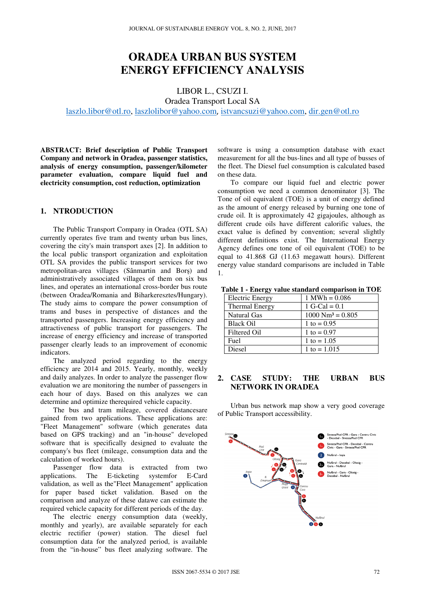# **ORADEA URBAN BUS SYSTEM ENERGY EFFICIENCY ANALYSIS**

LIBOR L., CSUZI I. Oradea Transport Local SA laszlo.libor@otl.ro, laszlolibor@yahoo.com, istvancsuzi@yahoo.com, dir.gen@otl.ro

**ABSTRACT: Brief description of Public Transport Company and network in Oradea, passenger statistics, analysis of energy consumption, passenger/kilometer parameter evaluation, compare liquid fuel and electricity consumption, cost reduction, optimization** 

## **1. NTRODUCTION**

The Public Transport Company in Oradea (OTL SA) currently operates five tram and twenty urban bus lines, covering the city's main transport axes [2]. In addition to the local public transport organization and exploitation OTL SA provides the public transport services for two metropolitan-area villages (Sânmartin and Borș) and administratively associated villages of them on six bus lines, and operates an international cross-border bus route (between Oradea/Romania and Biharkeresztes/Hungary). The study aims to compare the power consumption of trams and buses in perspective of distances and the transported passengers. Increasing energy efficiency and attractiveness of public transport for passengers. The increase of energy efficiency and increase of transported passenger clearly leads to an improvement of economic indicators.

The analyzed period regarding to the energy efficiency are 2014 and 2015. Yearly, monthly, weekly and daily analyzes. In order to analyze the passenger flow evaluation we are monitoring the number of passengers in each hour of days. Based on this analyzes we can determine and optimize therequired vehicle capacity.

The bus and tram mileage, covered distancesare gained from two applications. These applications are: "Fleet Management" software (which generates data based on GPS tracking) and an "in-house" developed software that is specifically designed to evaluate the company's bus fleet (mileage, consumption data and the calculation of worked hours).

Passenger flow data is extracted from two applications. The E-ticketing systemfor E-Card validation, as well as the"Fleet Management" application for paper based ticket validation. Based on the comparison and analyze of these datawe can estimate the required vehicle capacity for different periods of the day.

The electric energy consumption data (weekly, monthly and yearly), are available separately for each electric rectifier (power) station. The diesel fuel consumption data for the analyzed period, is available from the "in-house" bus fleet analyzing software. The

software is using a consumption database with exact measurement for all the bus-lines and all type of busses of the fleet. The Diesel fuel consumption is calculated based on these data.

To compare our liquid fuel and electric power consumption we need a common denominator [3]. The Tone of oil equivalent (TOE) is a unit of energy defined as the amount of energy released by burning one tone of crude oil. It is approximately 42 gigajoules, although as different crude oils have different calorific values, the exact value is defined by convention; several slightly different definitions exist. The International Energy Agency defines one tone of oil equivalent (TOE) to be equal to 41.868 GJ (11.63 megawatt hours). Different energy value standard comparisons are included in Table 1.

**Table 1 - Energy value standard comparison in TOE** 

| <b>Electric Energy</b> | $1$ MWh = 0.086             |
|------------------------|-----------------------------|
| <b>Thermal Energy</b>  | 1 G-Cal = $0.1$             |
| <b>Natural Gas</b>     | $1000 \text{ Nm}^3 = 0.805$ |
| <b>Black Oil</b>       | 1 to = $0.95$               |
| Filtered Oil           | 1 to = $0.97$               |
| Fuel                   | 1 to = $1.05$               |
| <b>Diesel</b>          | 1 to = $1.015$              |

#### **2. CASE STUDY: THE URBAN BUS NETWORK IN ORADEA**

Urban bus network map show a very good coverage of Public Transport accessibility.

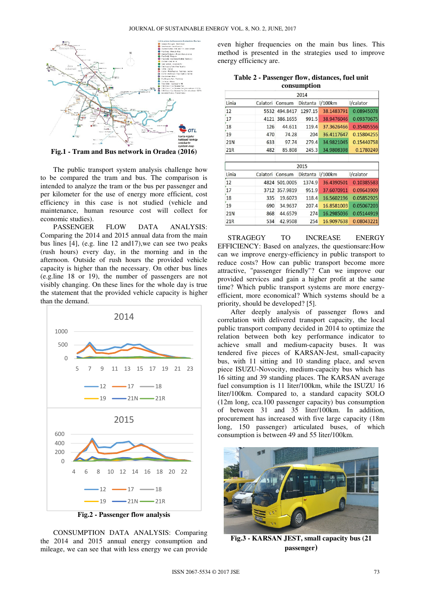

**Fig.1 - Tram and Bus network in Oradea (2016)** 

The public transport system analysis challenge how to be compared the tram and bus. The comparison is intended to analyze the tram or the bus per passenger and per kilometer for the use of energy more efficient, cost efficiency in this case is not studied (vehicle and maintenance, human resource cost will collect for economic studies).

PASSENGER FLOW DATA ANALYSIS: Comparing the 2014 and 2015 annual data from the main bus lines [4], (e.g. line 12 and17),we can see two peaks (rush hours) every day, in the morning and in the afternoon. Outside of rush hours the provided vehicle capacity is higher than the necessary. On other bus lines (e.g.line 18 or 19), the number of passengers are not visibly changing. On these lines for the whole day is true the statement that the provided vehicle capacity is higher than the demand.



**Fig.2 - Passenger flow analysis**

CONSUMPTION DATA ANALYSIS: Comparing the 2014 and 2015 annual energy consumption and mileage, we can see that with less energy we can provide even higher frequencies on the main bus lines. This method is presented in the strategies used to improve energy efficiency are.

| Table 2 - Passenger flow, distances, fuel unit |  |  |  |  |  |  |
|------------------------------------------------|--|--|--|--|--|--|
| consumption                                    |  |  |  |  |  |  |

|                 |          |          | 2014     |                      |            |
|-----------------|----------|----------|----------|----------------------|------------|
| Linia           | Calatori | Consum   | Distanta | 1/100km              | I/calator  |
| 12              | 5532     | 494.8417 | 1297.15  | 38.1483791           | 0.08945078 |
| 17              | 4121     | 386.1655 | 991.5    | 38.9476046           | 0.09370675 |
| 18              | 126      | 44.611   | 119.4    | 37.3626466           | 0.35405556 |
| 19              | 470      | 74.28    | 204      | 36.4117647           | 0.15804255 |
| 21N             | 633      | 97.74    | 279.4    | 34.9821045           | 0.15440758 |
| 21R             | 482      | 85.808   | 245.3    | 34.9808398           | 0.1780249  |
|                 |          |          |          |                      |            |
|                 |          |          | 2015     |                      |            |
| Linia           | Calatori | Consum   | Distanta | I/calator<br>1/100km |            |
| 12              | 4824     | 501.0005 | 1374.9   | 36.4390501           | 0.10385583 |
| 17              | 3712     | 357.9819 | 951.9    | 37.6070911           | 0.09643909 |
| 18              | 335      | 19.6073  | 118.4    | 16.5602196           | 0.05852925 |
| 19              | 690      | 34.9637  | 207.4    | 16.8581003           | 0.05067203 |
| <b>21N</b>      | 868      | 44.6579  | 274      | 16.2985036           | 0.05144919 |
| 21 <sub>R</sub> | 534      | 42.9508  | 254      | 16.9097638           | 0.08043221 |

STRAGEGY TO INCREASE ENERGY EFFICIENCY: Based on analyzes, the questionsare:How can we improve energy-efficiency in public transport to reduce costs? How can public transport become more attractive, "passenger friendly"? Can we improve our provided services and gain a higher profit at the same time? Which public transport systems are more energyefficient, more economical? Which systems should be a priority, should be developed? [5].

After deeply analysis of passenger flows and correlation with delivered transport capacity, the local public transport company decided in 2014 to optimize the relation between both key performance indicator to achieve small and medium-capacity buses. It was tendered five pieces of KARSAN-Jest, small-capacity bus, with 11 sitting and 10 standing place, and seven piece ISUZU-Novocity, medium-capacity bus which has 16 sitting and 39 standing places. The KARSAN average fuel consumption is 11 liter/100km, while the ISUZU 16 liter/100km. Compared to, a standard capacity SOLO (12m long, cca.100 passenger capacity) bus consumption of between 31 and 35 liter/100km. In addition, procurement has increased with five large capacity (18m long, 150 passenger) articulated buses, of which consumption is between 49 and 55 liter/100km.



**Fig.3 - KARSAN JEST, small capacity bus (21 passenger)**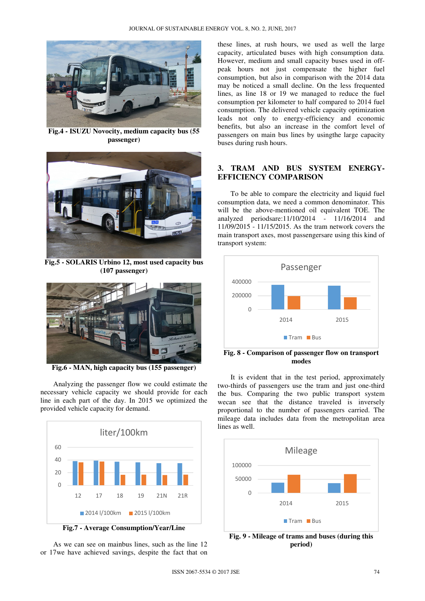

**Fig.4 - ISUZU Novocity, medium capacity bus (55 passenger)** 



**Fig.5 - SOLARIS Urbino 12, most used capacity bus (107 passenger)** 



**Fig.6 - MAN, high capacity bus (155 passenger)** 

Analyzing the passenger flow we could estimate the necessary vehicle capacity we should provide for each line in each part of the day. In 2015 we optimized the provided vehicle capacity for demand.



As we can see on mainbus lines, such as the line 12 or 17we have achieved savings, despite the fact that on

these lines, at rush hours, we used as well the large capacity, articulated buses with high consumption data. However, medium and small capacity buses used in offpeak hours not just compensate the higher fuel consumption, but also in comparison with the 2014 data may be noticed a small decline. On the less frequented lines, as line 18 or 19 we managed to reduce the fuel consumption per kilometer to half compared to 2014 fuel consumption. The delivered vehicle capacity optimization leads not only to energy-efficiency and economic benefits, but also an increase in the comfort level of passengers on main bus lines by usingthe large capacity buses during rush hours.

## **3. TRAM AND BUS SYSTEM ENERGY-EFFICIENCY COMPARISON**

To be able to compare the electricity and liquid fuel consumption data, we need a common denominator. This will be the above-mentioned oil equivalent TOE. The analyzed periodsare:11/10/2014 - 11/16/2014 and 11/09/2015 - 11/15/2015. As the tram network covers the main transport axes, most passengersare using this kind of transport system:



**Fig. 8 - Comparison of passenger flow on transport modes** 

It is evident that in the test period, approximately two-thirds of passengers use the tram and just one-third the bus. Comparing the two public transport system wecan see that the distance traveled is inversely proportional to the number of passengers carried. The mileage data includes data from the metropolitan area lines as well.



**Fig. 9 - Mileage of trams and buses (during this period)**